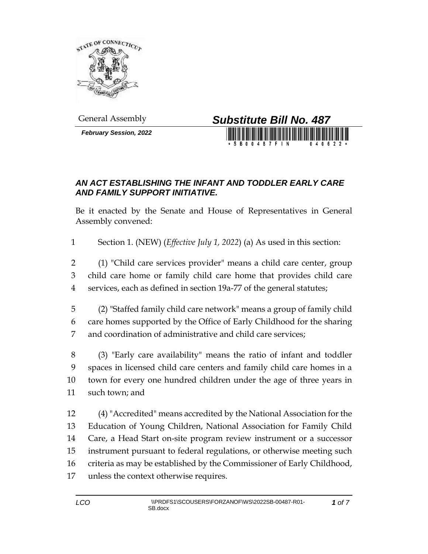

*February Session, 2022*



## *AN ACT ESTABLISHING THE INFANT AND TODDLER EARLY CARE AND FAMILY SUPPORT INITIATIVE.*

Be it enacted by the Senate and House of Representatives in General Assembly convened:

Section 1. (NEW) (*Effective July 1, 2022*) (a) As used in this section:

 (1) "Child care services provider" means a child care center, group child care home or family child care home that provides child care services, each as defined in section 19a-77 of the general statutes;

 (2) "Staffed family child care network" means a group of family child care homes supported by the Office of Early Childhood for the sharing and coordination of administrative and child care services;

 (3) "Early care availability" means the ratio of infant and toddler spaces in licensed child care centers and family child care homes in a town for every one hundred children under the age of three years in such town; and

 (4) "Accredited" means accredited by the National Association for the Education of Young Children, National Association for Family Child Care, a Head Start on-site program review instrument or a successor instrument pursuant to federal regulations, or otherwise meeting such criteria as may be established by the Commissioner of Early Childhood, unless the context otherwise requires.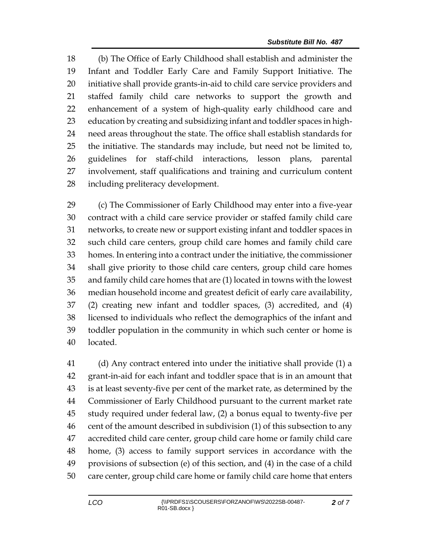(b) The Office of Early Childhood shall establish and administer the Infant and Toddler Early Care and Family Support Initiative. The initiative shall provide grants-in-aid to child care service providers and staffed family child care networks to support the growth and enhancement of a system of high-quality early childhood care and education by creating and subsidizing infant and toddler spaces in high- need areas throughout the state. The office shall establish standards for the initiative. The standards may include, but need not be limited to, guidelines for staff-child interactions, lesson plans, parental involvement, staff qualifications and training and curriculum content including preliteracy development.

 (c) The Commissioner of Early Childhood may enter into a five-year contract with a child care service provider or staffed family child care networks, to create new or support existing infant and toddler spaces in such child care centers, group child care homes and family child care homes. In entering into a contract under the initiative, the commissioner shall give priority to those child care centers, group child care homes and family child care homes that are (1) located in towns with the lowest median household income and greatest deficit of early care availability, (2) creating new infant and toddler spaces, (3) accredited, and (4) licensed to individuals who reflect the demographics of the infant and toddler population in the community in which such center or home is located.

 (d) Any contract entered into under the initiative shall provide (1) a grant-in-aid for each infant and toddler space that is in an amount that is at least seventy-five per cent of the market rate, as determined by the Commissioner of Early Childhood pursuant to the current market rate study required under federal law, (2) a bonus equal to twenty-five per cent of the amount described in subdivision (1) of this subsection to any accredited child care center, group child care home or family child care home, (3) access to family support services in accordance with the provisions of subsection (e) of this section, and (4) in the case of a child care center, group child care home or family child care home that enters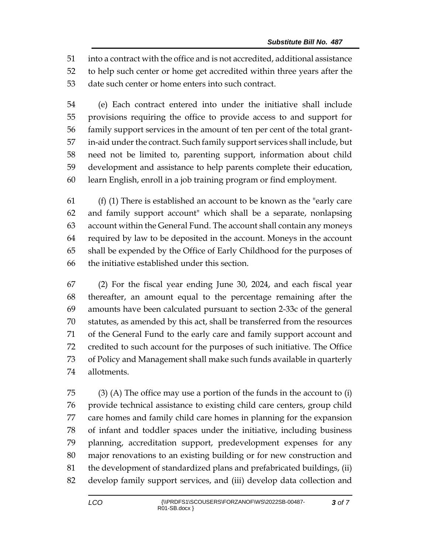into a contract with the office and is not accredited, additional assistance to help such center or home get accredited within three years after the date such center or home enters into such contract.

 (e) Each contract entered into under the initiative shall include provisions requiring the office to provide access to and support for family support services in the amount of ten per cent of the total grant- in-aid under the contract. Such family support services shall include, but need not be limited to, parenting support, information about child development and assistance to help parents complete their education, learn English, enroll in a job training program or find employment.

 (f) (1) There is established an account to be known as the "early care and family support account" which shall be a separate, nonlapsing account within the General Fund. The account shall contain any moneys required by law to be deposited in the account. Moneys in the account shall be expended by the Office of Early Childhood for the purposes of the initiative established under this section.

 (2) For the fiscal year ending June 30, 2024, and each fiscal year thereafter, an amount equal to the percentage remaining after the amounts have been calculated pursuant to section 2-33c of the general statutes, as amended by this act, shall be transferred from the resources of the General Fund to the early care and family support account and credited to such account for the purposes of such initiative. The Office of Policy and Management shall make such funds available in quarterly allotments.

 (3) (A) The office may use a portion of the funds in the account to (i) provide technical assistance to existing child care centers, group child care homes and family child care homes in planning for the expansion of infant and toddler spaces under the initiative, including business planning, accreditation support, predevelopment expenses for any major renovations to an existing building or for new construction and the development of standardized plans and prefabricated buildings, (ii) develop family support services, and (iii) develop data collection and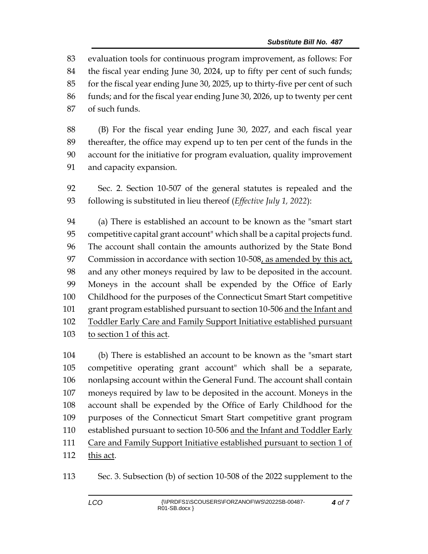evaluation tools for continuous program improvement, as follows: For the fiscal year ending June 30, 2024, up to fifty per cent of such funds; for the fiscal year ending June 30, 2025, up to thirty-five per cent of such funds; and for the fiscal year ending June 30, 2026, up to twenty per cent of such funds.

 (B) For the fiscal year ending June 30, 2027, and each fiscal year thereafter, the office may expend up to ten per cent of the funds in the account for the initiative for program evaluation, quality improvement and capacity expansion.

 Sec. 2. Section 10-507 of the general statutes is repealed and the following is substituted in lieu thereof (*Effective July 1, 2022*):

 (a) There is established an account to be known as the "smart start competitive capital grant account" which shall be a capital projects fund. The account shall contain the amounts authorized by the State Bond Commission in accordance with section 10-508, as amended by this act, and any other moneys required by law to be deposited in the account. Moneys in the account shall be expended by the Office of Early Childhood for the purposes of the Connecticut Smart Start competitive grant program established pursuant to section 10-506 and the Infant and Toddler Early Care and Family Support Initiative established pursuant 103 to section 1 of this act.

 (b) There is established an account to be known as the "smart start competitive operating grant account" which shall be a separate, nonlapsing account within the General Fund. The account shall contain moneys required by law to be deposited in the account. Moneys in the account shall be expended by the Office of Early Childhood for the purposes of the Connecticut Smart Start competitive grant program 110 established pursuant to section 10-506 and the Infant and Toddler Early Care and Family Support Initiative established pursuant to section 1 of this act.

Sec. 3. Subsection (b) of section 10-508 of the 2022 supplement to the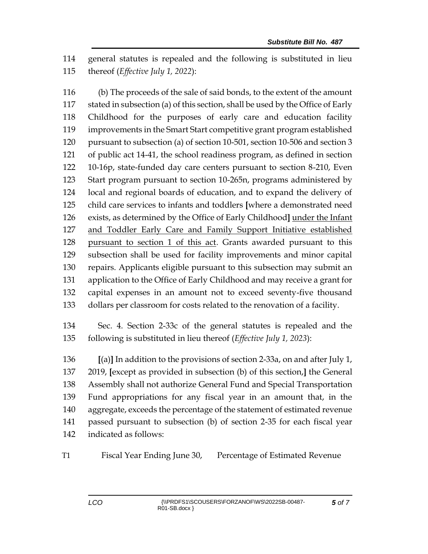general statutes is repealed and the following is substituted in lieu thereof (*Effective July 1, 2022*):

 (b) The proceeds of the sale of said bonds, to the extent of the amount stated in subsection (a) of this section, shall be used by the Office of Early Childhood for the purposes of early care and education facility improvements in the Smart Start competitive grant program established pursuant to subsection (a) of section 10-501, section 10-506 and section 3 of public act 14-41, the school readiness program, as defined in section 10-16p, state-funded day care centers pursuant to section 8-210, Even Start program pursuant to section 10-265n, programs administered by local and regional boards of education, and to expand the delivery of child care services to infants and toddlers **[**where a demonstrated need exists, as determined by the Office of Early Childhood**]** under the Infant and Toddler Early Care and Family Support Initiative established pursuant to section 1 of this act. Grants awarded pursuant to this subsection shall be used for facility improvements and minor capital repairs. Applicants eligible pursuant to this subsection may submit an application to the Office of Early Childhood and may receive a grant for capital expenses in an amount not to exceed seventy-five thousand dollars per classroom for costs related to the renovation of a facility.

 Sec. 4. Section 2-33c of the general statutes is repealed and the following is substituted in lieu thereof (*Effective July 1, 2023*):

 **[**(a)**]** In addition to the provisions of section 2-33a, on and after July 1, 2019, **[**except as provided in subsection (b) of this section,**]** the General Assembly shall not authorize General Fund and Special Transportation Fund appropriations for any fiscal year in an amount that, in the aggregate, exceeds the percentage of the statement of estimated revenue passed pursuant to subsection (b) of section 2-35 for each fiscal year indicated as follows:

T1 Fiscal Year Ending June 30, Percentage of Estimated Revenue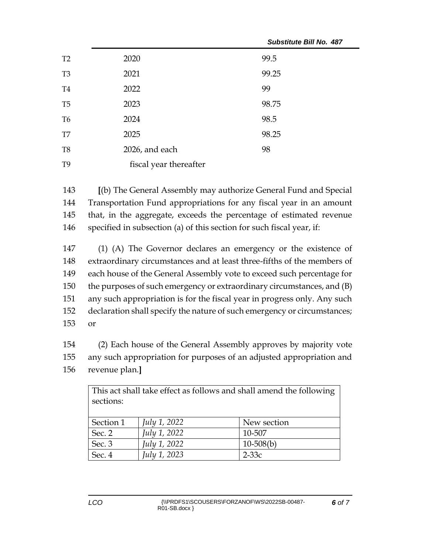|                |                        | SUDSUIUTE BIII NO. 487 |
|----------------|------------------------|------------------------|
| T2             | 2020                   | 99.5                   |
| T <sub>3</sub> | 2021                   | 99.25                  |
| T <sub>4</sub> | 2022                   | 99                     |
| T <sub>5</sub> | 2023                   | 98.75                  |
| T <sub>6</sub> | 2024                   | 98.5                   |
| T7             | 2025                   | 98.25                  |
| T <sub>8</sub> | 2026, and each         | 98                     |
| T <sub>9</sub> | fiscal year thereafter |                        |

*Substitute Bill No. 487*

 **[**(b) The General Assembly may authorize General Fund and Special Transportation Fund appropriations for any fiscal year in an amount that, in the aggregate, exceeds the percentage of estimated revenue specified in subsection (a) of this section for such fiscal year, if:

 (1) (A) The Governor declares an emergency or the existence of extraordinary circumstances and at least three-fifths of the members of each house of the General Assembly vote to exceed such percentage for the purposes of such emergency or extraordinary circumstances, and (B) any such appropriation is for the fiscal year in progress only. Any such declaration shall specify the nature of such emergency or circumstances; 153 or

154 (2) Each house of the General Assembly approves by majority vote 155 any such appropriation for purposes of an adjusted appropriation and 156 revenue plan.**]**

| This act shall take effect as follows and shall amend the following<br>sections: |                     |             |  |
|----------------------------------------------------------------------------------|---------------------|-------------|--|
| Section 1                                                                        | <i>July 1, 2022</i> | New section |  |
| Sec. 2                                                                           | July 1, 2022        | 10-507      |  |
| Sec. 3                                                                           | July 1, 2022        | $10-508(b)$ |  |
| Sec. 4                                                                           | July 1, 2023        | $2-33c$     |  |